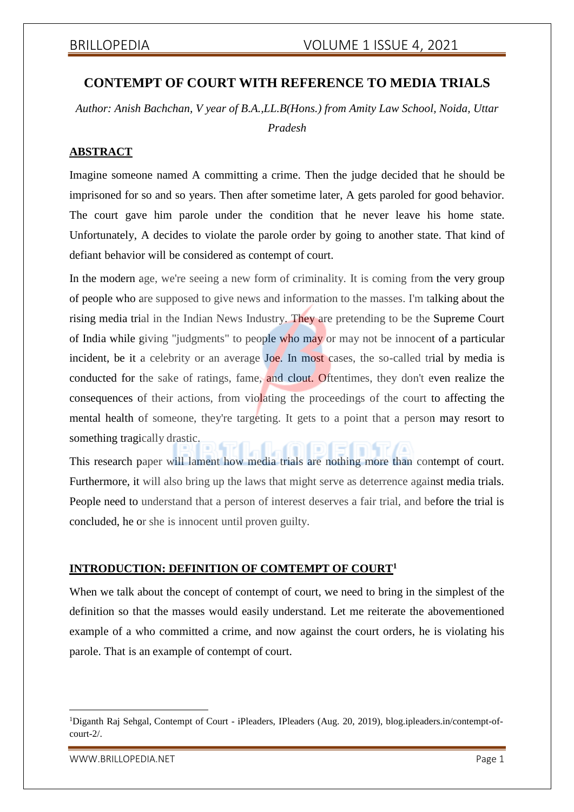# **CONTEMPT OF COURT WITH REFERENCE TO MEDIA TRIALS**

*Author: Anish Bachchan, V year of B.A.,LL.B(Hons.) from Amity Law School, Noida, Uttar*

*Pradesh*

# **ABSTRACT**

Imagine someone named A committing a crime. Then the judge decided that he should be imprisoned for so and so years. Then after sometime later, A gets paroled for good behavior. The court gave him parole under the condition that he never leave his home state. Unfortunately, A decides to violate the parole order by going to another state. That kind of defiant behavior will be considered as contempt of court.

In the modern age, we're seeing a new form of criminality. It is coming from the very group of people who are supposed to give news and information to the masses. I'm talking about the rising media trial in the Indian News Industry. They are pretending to be the Supreme Court of India while giving "judgments" to people who may or may not be innocent of a particular incident, be it a celebrity or an average Joe. In most cases, the so-called trial by media is conducted for the sake of ratings, fame, and clout. Oftentimes, they don't even realize the consequences of their actions, from violating the proceedings of the court to affecting the mental health of someone, they're targeting. It gets to a point that a person may resort to something tragically drastic.

This research paper will lament how media trials are nothing more than contempt of court. Furthermore, it will also bring up the laws that might serve as deterrence against media trials. People need to understand that a person of interest deserves a fair trial, and before the trial is concluded, he or she is innocent until proven guilty.

### **INTRODUCTION: DEFINITION OF COMTEMPT OF COURT<sup>1</sup>**

When we talk about the concept of contempt of court, we need to bring in the simplest of the definition so that the masses would easily understand. Let me reiterate the abovementioned example of a who committed a crime, and now against the court orders, he is violating his parole. That is an example of contempt of court.

<sup>1</sup>Diganth Raj Sehgal, Contempt of Court - iPleaders, IPleaders (Aug. 20, 2019), blog.ipleaders.in/contempt-ofcourt-2/.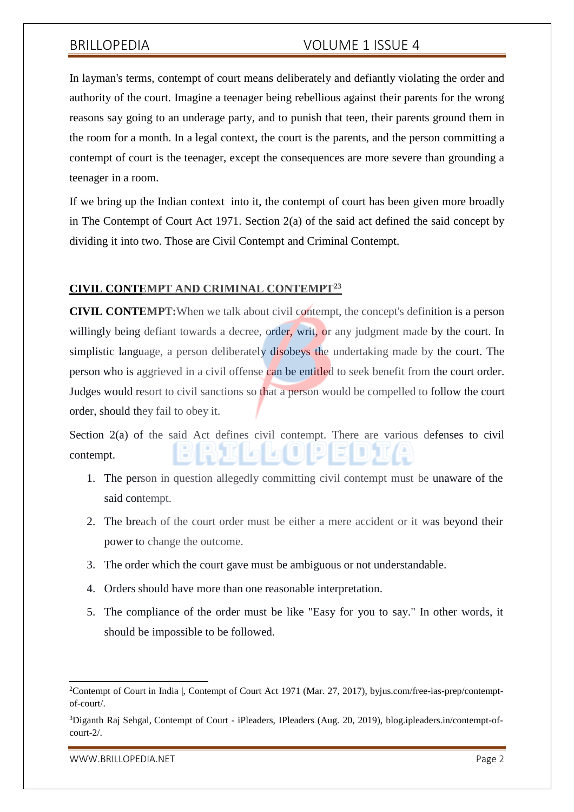In layman's terms, contempt of court means deliberately and defiantly violating the order and authority of the court. Imagine a teenager being rebellious against their parents for the wrong reasons say going to an underage party, and to punish that teen, their parents ground them in the room for a month. In a legal context, the court is the parents, and the person committing a contempt of court is the teenager, except the consequences are more severe than grounding a teenager in a room.

If we bring up the Indian context into it, the contempt of court has been given more broadly in The Contempt of Court Act 1971. Section 2(a) of the said act defined the said concept by dividing it into two. Those are Civil Contempt and Criminal Contempt.

### **CIVIL CONTEMPT AND CRIMINAL CONTEMPT<sup>23</sup>**

**CIVIL CONTEMPT:**When we talk about civil contempt, the concept's definition is a person willingly being defiant towards a decree, order, writ, or any judgment made by the court. In simplistic language, a person deliberately disobeys the undertaking made by the court. The person who is aggrieved in a civil offense can be entitled to seek benefit from the court order. Judges would resort to civil sanctions so that a person would be compelled to follow the court order, should they fail to obey it.

Section 2(a) of the said Act defines civil contempt. There are various defenses to civil contempt.

- 1. The person in question allegedly committing civil contempt must be unaware of the said contempt.
- 2. The breach of the court order must be either a mere accident or it was beyond their power to change the outcome.
- 3. The order which the court gave must be ambiguous or not understandable.
- 4. Orders should have more than one reasonable interpretation.
- 5. The compliance of the order must be like "Easy for you to say." In other words, it should be impossible to be followed.

<sup>&</sup>lt;sup>2</sup>Contempt of Court in India |, Contempt of Court Act 1971 (Mar. 27, 2017), byjus.com/free-ias-prep/contemptof-court/.

<sup>3</sup>Diganth Raj Sehgal, Contempt of Court - iPleaders, IPleaders (Aug. 20, 2019), blog.ipleaders.in/contempt-ofcourt-2/.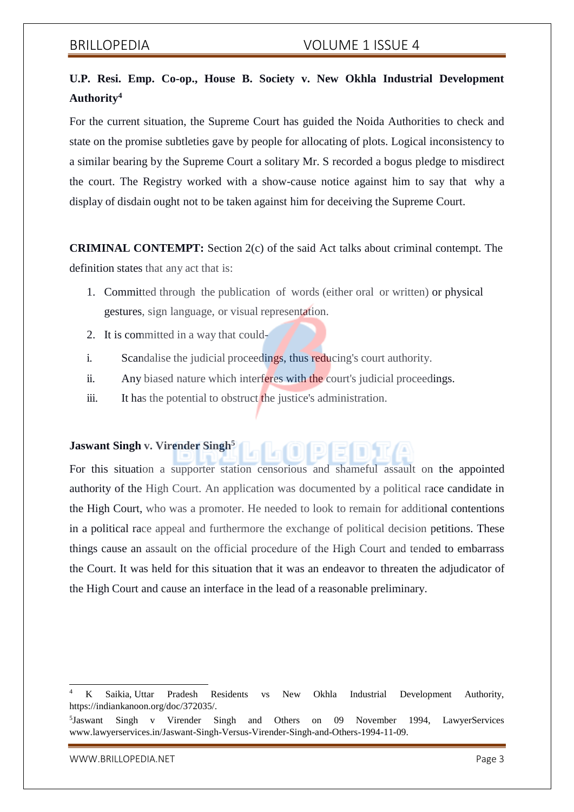# **U.P. Resi. Emp. Co-op., House B. Society v. New Okhla Industrial Development Authority<sup>4</sup>**

For the current situation, the Supreme Court has guided the Noida Authorities to check and state on the promise subtleties gave by people for allocating of plots. Logical inconsistency to a similar bearing by the Supreme Court a solitary Mr. S recorded a bogus pledge to misdirect the court. The Registry worked with a show-cause notice against him to say that why a display of disdain ought not to be taken against him for deceiving the Supreme Court.

**CRIMINAL CONTEMPT:** Section 2(c) of the said Act talks about criminal contempt. The definition states that any act that is:

- 1. Committed through the publication of words (either oral or written) or physical gestures, sign language, or visual representation.
- 2. It is committed in a way that could-
- i. Scandalise the judicial proceedings, thus reducing's court authority.
- ii. Any biased nature which interferes with the court's judicial proceedings.
- iii. It has the potential to obstruct the justice's administration.

# **Jaswant Singh v. Virender Singh<sup>5</sup>**

For this situation a supporter station censorious and shameful assault on the appointed authority of the High Court. An application was documented by a political race candidate in the High Court, who was a promoter. He needed to look to remain for additional contentions in a political race appeal and furthermore the exchange of political decision petitions. These things cause an assault on the official procedure of the High Court and tended to embarrass the Court. It was held for this situation that it was an endeavor to threaten the adjudicator of the High Court and cause an interface in the lead of a reasonable preliminary.

[WWW.BRILLOPEDIA.NET](http://www.brillopedia.net/) And the state of the state of the state of the state of the state of the state of the state of the state of the state of the state of the state of the state of the state of the state of the state of the

<sup>4</sup> K Saikia, Uttar Pradesh Residents vs New Okhla Industrial Development Authority, https://indiankanoon.org/doc/372035/.

<sup>&</sup>lt;sup>5</sup>Jaswant Singh v Virender Singh and Others on 09 November 1994, LawyerServices [www.lawyerservices.in/Jaswant-Singh-Versus-Virender-Singh-and-Others-1994-11-09.](http://www.lawyerservices.in/Jaswant-Singh-Versus-Virender-Singh-and-Others-1994-11-09)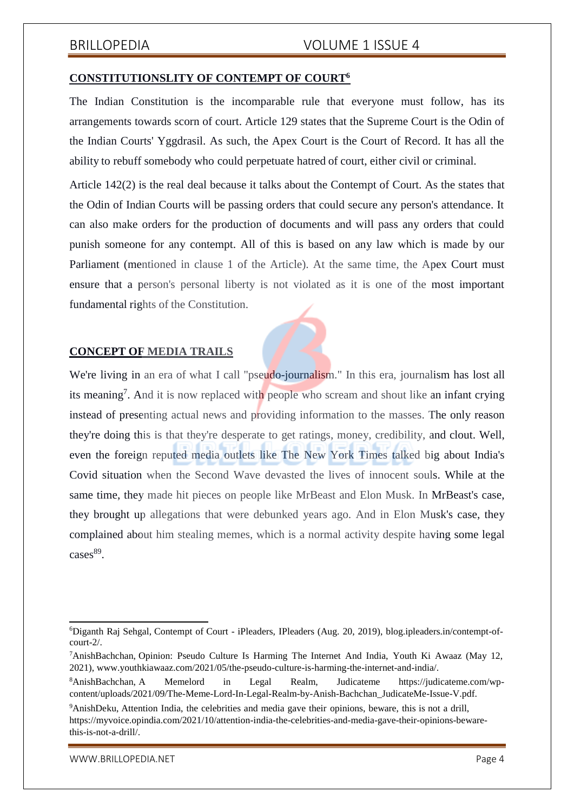### **CONSTITUTIONSLITY OF CONTEMPT OF COURT<sup>6</sup>**

The Indian Constitution is the incomparable rule that everyone must follow, has its arrangements towards scorn of court. Article 129 states that the Supreme Court is the Odin of the Indian Courts' Yggdrasil. As such, the Apex Court is the Court of Record. It has all the ability to rebuff somebody who could perpetuate hatred of court, either civil or criminal.

Article 142(2) is the real deal because it talks about the Contempt of Court. As the states that the Odin of Indian Courts will be passing orders that could secure any person's attendance. It can also make orders for the production of documents and will pass any orders that could punish someone for any contempt. All of this is based on any law which is made by our Parliament (mentioned in clause 1 of the Article). At the same time, the Apex Court must ensure that a person's personal liberty is not violated as it is one of the most important fundamental rights of the Constitution.

### **CONCEPT OF MEDIA TRAILS**

We're living in an era of what I call "pseudo-journalism." In this era, journalism has lost all its meaning<sup>7</sup>. And it is now replaced with people who scream and shout like an infant crying instead of presenting actual news and providing information to the masses. The only reason they're doing this is that they're desperate to get ratings, money, credibility, and clout. Well, even the foreign reputed media outlets like The New York Times talked big about India's Covid situation when the Second Wave devasted the lives of innocent souls. While at the same time, they made hit pieces on people like MrBeast and Elon Musk. In MrBeast's case, they brought up allegations that were debunked years ago. And in Elon Musk's case, they complained about him stealing memes, which is a normal activity despite having some legal cases<sup>89</sup>.

<sup>6</sup>Diganth Raj Sehgal, Contempt of Court - iPleaders, IPleaders (Aug. 20, 2019), blog.ipleaders.in/contempt-ofcourt-2/.

<sup>7</sup>AnishBachchan, Opinion: Pseudo Culture Is Harming The Internet And India, Youth Ki Awaaz (May 12, 2021), [www.youthkiawaaz.com/2021/05/the-pseudo-culture-is-harming-the-internet-and-india/.](http://www.youthkiawaaz.com/2021/05/the-pseudo-culture-is-harming-the-internet-and-india/)

<sup>8</sup>AnishBachchan, A Memelord in Legal Realm, Judicateme https://judicateme.com/wpcontent/uploads/2021/09/The-Meme-Lord-In-Legal-Realm-by-Anish-Bachchan\_JudicateMe-Issue-V.pdf.

<sup>9</sup>AnishDeku, Attention India, the celebrities and media gave their opinions, beware, this is not a drill, https://myvoice.opindia.com/2021/10/attention-india-the-celebrities-and-media-gave-their-opinions-bewarethis-is-not-a-drill/.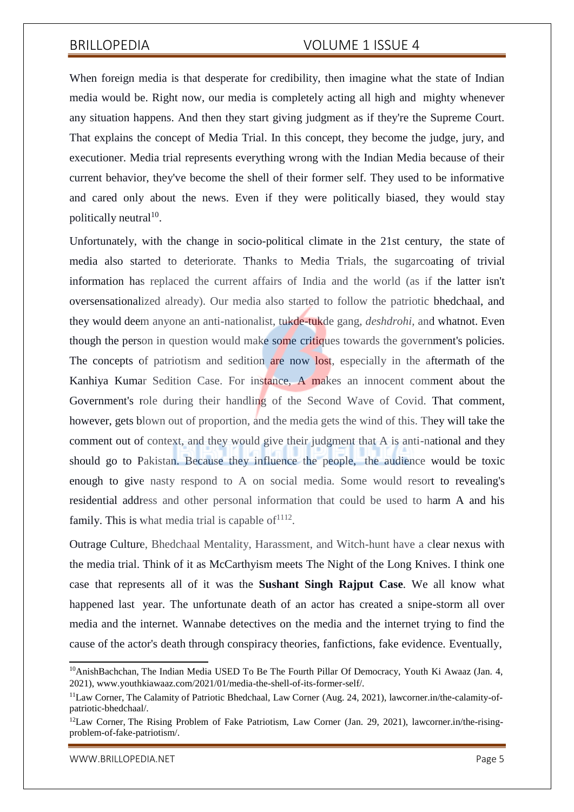When foreign media is that desperate for credibility, then imagine what the state of Indian media would be. Right now, our media is completely acting all high and mighty whenever any situation happens. And then they start giving judgment as if they're the Supreme Court. That explains the concept of Media Trial. In this concept, they become the judge, jury, and executioner. Media trial represents everything wrong with the Indian Media because of their current behavior, they've become the shell of their former self. They used to be informative and cared only about the news. Even if they were politically biased, they would stay politically neutral<sup>10</sup>.

Unfortunately, with the change in socio-political climate in the 21st century, the state of media also started to deteriorate. Thanks to Media Trials, the sugarcoating of trivial information has replaced the current affairs of India and the world (as if the latter isn't oversensationalized already). Our media also started to follow the patriotic bhedchaal, and they would deem anyone an anti-nationalist, tukde-tukde gang, *deshdrohi,* and whatnot. Even though the person in question would make some critiques towards the government's policies. The concepts of patriotism and sedition are now lost, especially in the aftermath of the Kanhiya Kumar Sedition Case. For instance, A makes an innocent comment about the Government's role during their handling of the Second Wave of Covid. That comment, however, gets blown out of proportion, and the media gets the wind of this. They will take the comment out of context, and they would give their judgment that A is anti-national and they should go to Pakistan. Because they influence the people, the audience would be toxic enough to give nasty respond to A on social media. Some would resort to revealing's residential address and other personal information that could be used to harm A and his family. This is what media trial is capable of  $1112$ .

Outrage Culture, Bhedchaal Mentality, Harassment, and Witch-hunt have a clear nexus with the media trial. Think of it as McCarthyism meets The Night of the Long Knives. I think one case that represents all of it was the **Sushant Singh Rajput Case**. We all know what happened last year. The unfortunate death of an actor has created a snipe-storm all over media and the internet. Wannabe detectives on the media and the internet trying to find the cause of the actor's death through conspiracy theories, fanfictions, fake evidence. Eventually,

 $10$ AnishBachchan, The Indian Media USED To Be The Fourth Pillar Of Democracy, Youth Ki Awaaz (Jan. 4, 2021), [www.youthkiawaaz.com/2021/01/media-the-shell-of-its-former-self/.](http://www.youthkiawaaz.com/2021/01/media-the-shell-of-its-former-self/)

<sup>11</sup>Law Corner, The Calamity of Patriotic Bhedchaal, Law Corner (Aug. 24, 2021), lawcorner.in/the-calamity-ofpatriotic-bhedchaal/.

<sup>&</sup>lt;sup>12</sup>Law Corner, The Rising Problem of Fake Patriotism, Law Corner (Jan. 29, 2021), lawcorner.in/the-risingproblem-of-fake-patriotism/.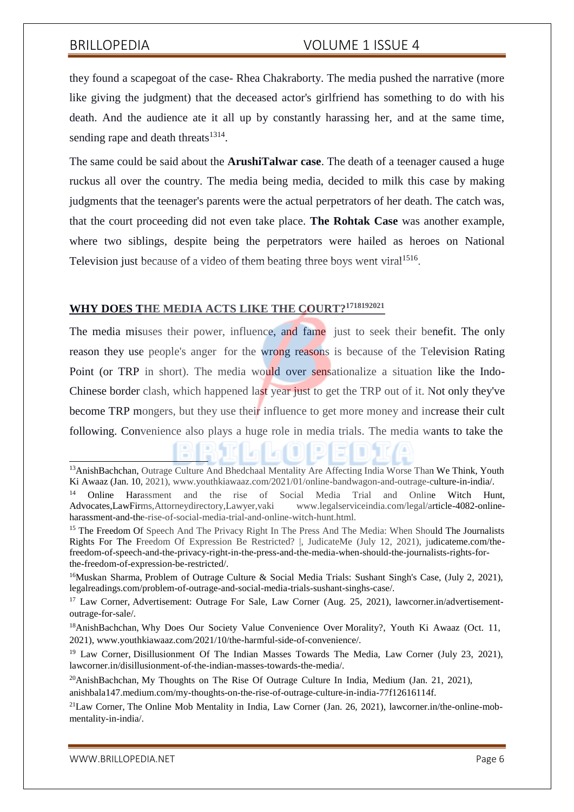they found a scapegoat of the case- Rhea Chakraborty. The media pushed the narrative (more like giving the judgment) that the deceased actor's girlfriend has something to do with his death. And the audience ate it all up by constantly harassing her, and at the same time, sending rape and death threats<sup>1314</sup>.

The same could be said about the **ArushiTalwar case**. The death of a teenager caused a huge ruckus all over the country. The media being media, decided to milk this case by making judgments that the teenager's parents were the actual perpetrators of her death. The catch was, that the court proceeding did not even take place. **The Rohtak Case** was another example, where two siblings, despite being the perpetrators were hailed as heroes on National Television just because of a video of them beating three boys went viral<sup>1516</sup>.

# **WHY DOES THE MEDIA ACTS LIKE THE COURT?<sup>1718192021</sup>**

The media misuses their power, influence, and fame just to seek their benefit. The only reason they use people's anger for the wrong reasons is because of the Television Rating Point (or TRP in short). The media would over sensationalize a situation like the Indo-Chinese border clash, which happened last year just to get the TRP out of it. Not only they've become TRP mongers, but they use their influence to get more money and increase their cult following. Convenience also plays a huge role in media trials. The media wants to take the

<sup>13</sup>AnishBachchan, Outrage Culture And Bhedchaal Mentality Are Affecting India Worse Than We Think, Youth Ki Awaaz (Jan. 10, 2021), [www.youthkiawaaz.com/2021/01/online-bandwagon-and-outrage-culture-in-india/.](http://www.youthkiawaaz.com/2021/01/online-bandwagon-and-outrage-culture-in-india/)

<sup>14</sup> Online Harassment and the rise of Social Media Trial and Online Witch Hunt, Advocates,LawFirms,Attorneydirectory,Lawyer,vaki [www.legalserviceindia.com/legal/article-4082-online](http://www.legalserviceindia.com/legal/article-4082-online-)harassment-and-the-rise-of-social-media-trial-and-online-witch-hunt.html.

<sup>&</sup>lt;sup>15</sup> The Freedom Of Speech And The Privacy Right In The Press And The Media: When Should The Journalists Rights For The Freedom Of Expression Be Restricted? |, JudicateMe (July 12, 2021), judicateme.com/thefreedom-of-speech-and-the-privacy-right-in-the-press-and-the-media-when-should-the-journalists-rights-forthe-freedom-of-expression-be-restricted/.

<sup>&</sup>lt;sup>16</sup>Muskan Sharma, Problem of Outrage Culture & Social Media Trials: Sushant Singh's Case, (July 2, 2021), legalreadings.com/problem-of-outrage-and-social-media-trials-sushant-singhs-case/.

<sup>&</sup>lt;sup>17</sup> Law Corner, Advertisement: Outrage For Sale, Law Corner (Aug. 25, 2021), lawcorner.in/advertisementoutrage-for-sale/.

<sup>&</sup>lt;sup>18</sup>AnishBachchan, Why Does Our Society Value Convenience Over Morality?, Youth Ki Awaaz (Oct. 11, 2021), [www.youthkiawaaz.com/2021/10/the-harmful-side-of-convenience/.](http://www.youthkiawaaz.com/2021/10/the-harmful-side-of-convenience/)

<sup>&</sup>lt;sup>19</sup> Law Corner, Disillusionment Of The Indian Masses Towards The Media, Law Corner (July 23, 2021), lawcorner.in/disillusionment-of-the-indian-masses-towards-the-media/.

<sup>20</sup>AnishBachchan, My Thoughts on The Rise Of Outrage Culture In India, Medium (Jan. 21, 2021), anishbala147.medium.com/my-thoughts-on-the-rise-of-outrage-culture-in-india-77f12616114f.

<sup>&</sup>lt;sup>21</sup>Law Corner, The Online Mob Mentality in India, Law Corner (Jan. 26, 2021), lawcorner.in/the-online-mobmentality-in-india/.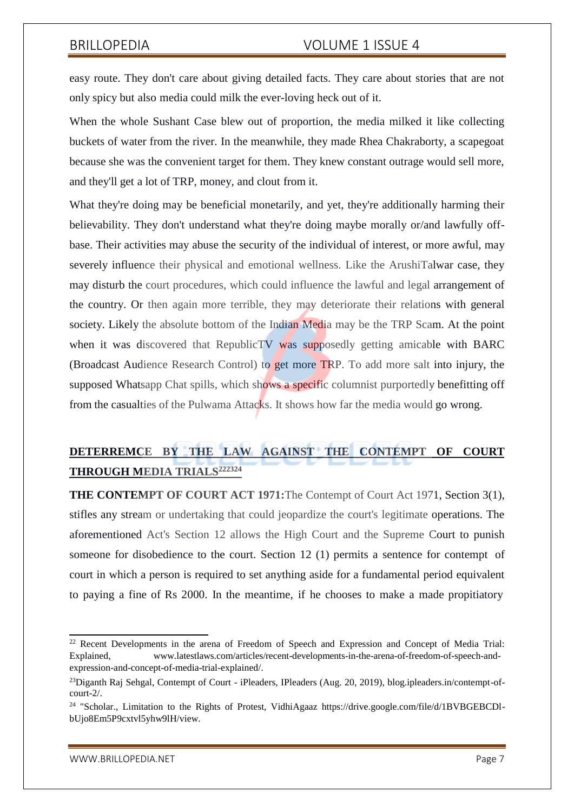easy route. They don't care about giving detailed facts. They care about stories that are not only spicy but also media could milk the ever-loving heck out of it.

When the whole Sushant Case blew out of proportion, the media milked it like collecting buckets of water from the river. In the meanwhile, they made Rhea Chakraborty, a scapegoat because she was the convenient target for them. They knew constant outrage would sell more, and they'll get a lot of TRP, money, and clout from it.

What they're doing may be beneficial monetarily, and yet, they're additionally harming their believability. They don't understand what they're doing maybe morally or/and lawfully offbase. Their activities may abuse the security of the individual of interest, or more awful, may severely influence their physical and emotional wellness. Like the ArushiTalwar case, they may disturb the court procedures, which could influence the lawful and legal arrangement of the country. Or then again more terrible, they may deteriorate their relations with general society. Likely the absolute bottom of the Indian Media may be the TRP Scam. At the point when it was discovered that RepublicTV was supposedly getting amicable with BARC (Broadcast Audience Research Control) to get more TRP. To add more salt into injury, the supposed Whatsapp Chat spills, which shows a specific columnist purportedly benefitting off from the casualties of the Pulwama Attacks. It shows how far the media would go wrong.

# **DETERREMCE BY THE LAW AGAINST THE CONTEMPT OF COURT THROUGH MEDIA TRIALS<sup>222324</sup>**

**THE CONTEMPT OF COURT ACT 1971:**The Contempt of Court Act 1971, Section 3(1), stifles any stream or undertaking that could jeopardize the court's legitimate operations. The aforementioned Act's Section 12 allows the High Court and the Supreme Court to punish someone for disobedience to the court. Section 12 (1) permits a sentence for contempt of court in which a person is required to set anything aside for a fundamental period equivalent to paying a fine of Rs 2000. In the meantime, if he chooses to make a made propitiatory

<sup>&</sup>lt;sup>22</sup> Recent Developments in the arena of Freedom of Speech and Expression and Concept of Media Trial: Explained, [www.latestlaws.com/articles/recent-developments-in-the-arena-of-freedom-of-speech-and](http://www.latestlaws.com/articles/recent-developments-in-the-arena-of-freedom-of-speech-and-)expression-and-concept-of-media-trial-explained/.

<sup>&</sup>lt;sup>23</sup>Diganth Raj Sehgal, Contempt of Court - iPleaders, IPleaders (Aug. 20, 2019), blog.ipleaders.in/contempt-ofcourt-2/.

<sup>&</sup>lt;sup>24</sup> "Scholar., Limitation to the Rights of Protest, VidhiAgaaz https://drive.google.com/file/d/1BVBGEBCDIbUjo8Em5P9cxtvl5yhw9lH/view.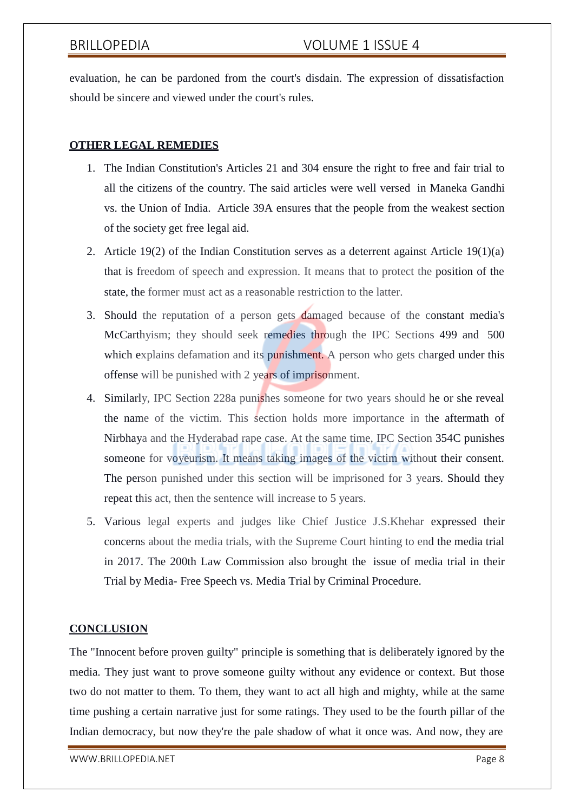evaluation, he can be pardoned from the court's disdain. The expression of dissatisfaction should be sincere and viewed under the court's rules.

# **OTHER LEGAL REMEDIES**

- 1. The Indian Constitution's Articles 21 and 304 ensure the right to free and fair trial to all the citizens of the country. The said articles were well versed in Maneka Gandhi vs. the Union of India. Article 39A ensures that the people from the weakest section of the society get free legal aid.
- 2. Article 19(2) of the Indian Constitution serves as a deterrent against Article 19(1)(a) that is freedom of speech and expression. It means that to protect the position of the state, the former must act as a reasonable restriction to the latter.
- 3. Should the reputation of a person gets damaged because of the constant media's McCarthyism; they should seek remedies through the IPC Sections 499 and 500 which explains defamation and its punishment. A person who gets charged under this offense will be punished with 2 years of imprisonment.
- 4. Similarly, IPC Section 228a punishes someone for two years should he or she reveal the name of the victim. This section holds more importance in the aftermath of Nirbhaya and the Hyderabad rape case. At the same time, IPC Section 354C punishes someone for voyeurism. It means taking images of the victim without their consent. The person punished under this section will be imprisoned for 3 years. Should they repeat this act, then the sentence will increase to 5 years.
- 5. Various legal experts and judges like Chief Justice J.S.Khehar expressed their concerns about the media trials, with the Supreme Court hinting to end the media trial in 2017. The 200th Law Commission also brought the issue of media trial in their Trial by Media- Free Speech vs. Media Trial by Criminal Procedure.

### **CONCLUSION**

The "Innocent before proven guilty" principle is something that is deliberately ignored by the media. They just want to prove someone guilty without any evidence or context. But those two do not matter to them. To them, they want to act all high and mighty, while at the same time pushing a certain narrative just for some ratings. They used to be the fourth pillar of the Indian democracy, but now they're the pale shadow of what it once was. And now, they are

[WWW.BRILLOPEDIA.NET](http://www.brillopedia.net/)